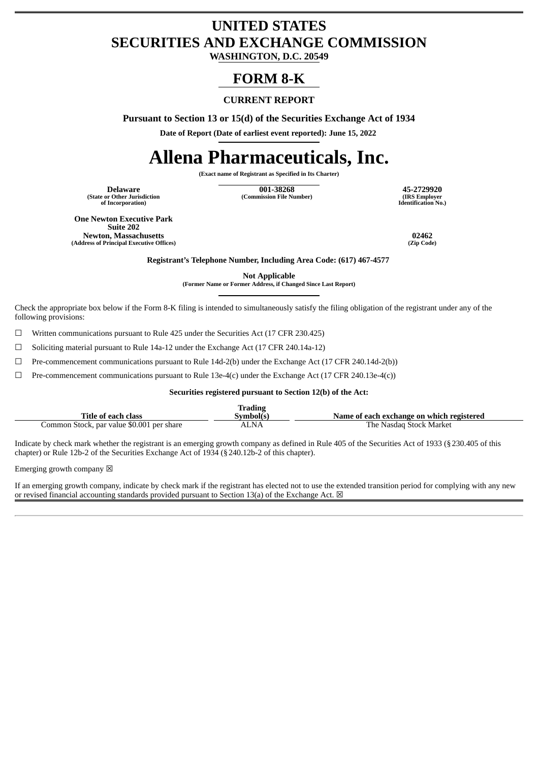## **UNITED STATES SECURITIES AND EXCHANGE COMMISSION**

**WASHINGTON, D.C. 20549**

### **FORM 8-K**

#### **CURRENT REPORT**

**Pursuant to Section 13 or 15(d) of the Securities Exchange Act of 1934**

**Date of Report (Date of earliest event reported): June 15, 2022**

# **Allena Pharmaceuticals, Inc.**

**(Exact name of Registrant as Specified in Its Charter)**

**(State or Other Jurisdiction of Incorporation)**

**Delaware 001-38268 45-2729920 (Commission File Number) (IRS Employer**

**Identification No.)**

**One Newton Executive Park Suite 202 Newton, Massachusetts 02462 (Address of Principal Executive Offices)** 

**Registrant's Telephone Number, Including Area Code: (617) 467-4577**

**Not Applicable**

**(Former Name or Former Address, if Changed Since Last Report)**

Check the appropriate box below if the Form 8-K filing is intended to simultaneously satisfy the filing obligation of the registrant under any of the following provisions:

☐ Written communications pursuant to Rule 425 under the Securities Act (17 CFR 230.425)

☐ Soliciting material pursuant to Rule 14a-12 under the Exchange Act (17 CFR 240.14a-12)

☐ Pre-commencement communications pursuant to Rule 14d-2(b) under the Exchange Act (17 CFR 240.14d-2(b))

 $\Box$  Pre-commencement communications pursuant to Rule 13e-4(c) under the Exchange Act (17 CFR 240.13e-4(c))

#### **Securities registered pursuant to Section 12(b) of the Act:**

|                                           | <b>Trading</b> |                                           |
|-------------------------------------------|----------------|-------------------------------------------|
| Title of each class                       | Symbol(s)      | Name of each exchange on which registered |
| Common Stock, par value \$0.001 per share | ALNA           | The Nasdag Stock Market                   |

Indicate by check mark whether the registrant is an emerging growth company as defined in Rule 405 of the Securities Act of 1933 (§230.405 of this chapter) or Rule 12b-2 of the Securities Exchange Act of 1934 (§240.12b-2 of this chapter).

Emerging growth company  $\boxtimes$ 

If an emerging growth company, indicate by check mark if the registrant has elected not to use the extended transition period for complying with any new or revised financial accounting standards provided pursuant to Section 13(a) of the Exchange Act.  $\boxtimes$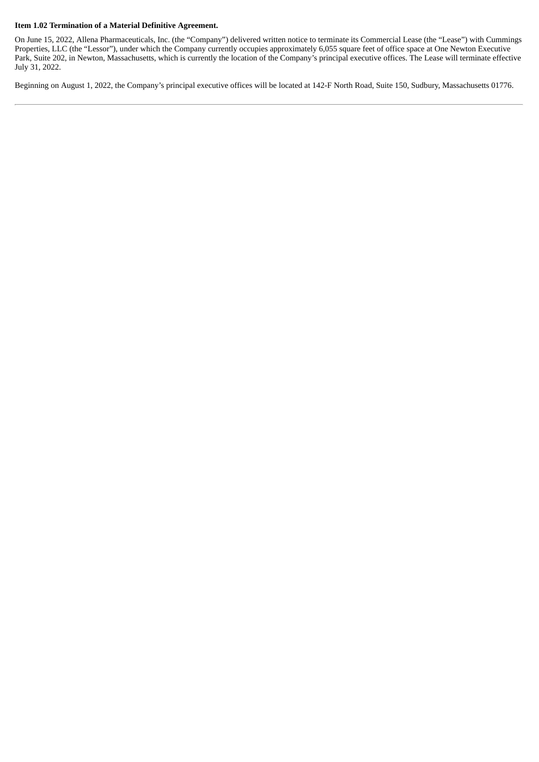#### **Item 1.02 Termination of a Material Definitive Agreement.**

On June 15, 2022, Allena Pharmaceuticals, Inc. (the "Company") delivered written notice to terminate its Commercial Lease (the "Lease") with Cummings Properties, LLC (the "Lessor"), under which the Company currently occupies approximately 6,055 square feet of office space at One Newton Executive Park, Suite 202, in Newton, Massachusetts, which is currently the location of the Company's principal executive offices. The Lease will terminate effective July 31, 2022.

Beginning on August 1, 2022, the Company's principal executive offices will be located at 142-F North Road, Suite 150, Sudbury, Massachusetts 01776.